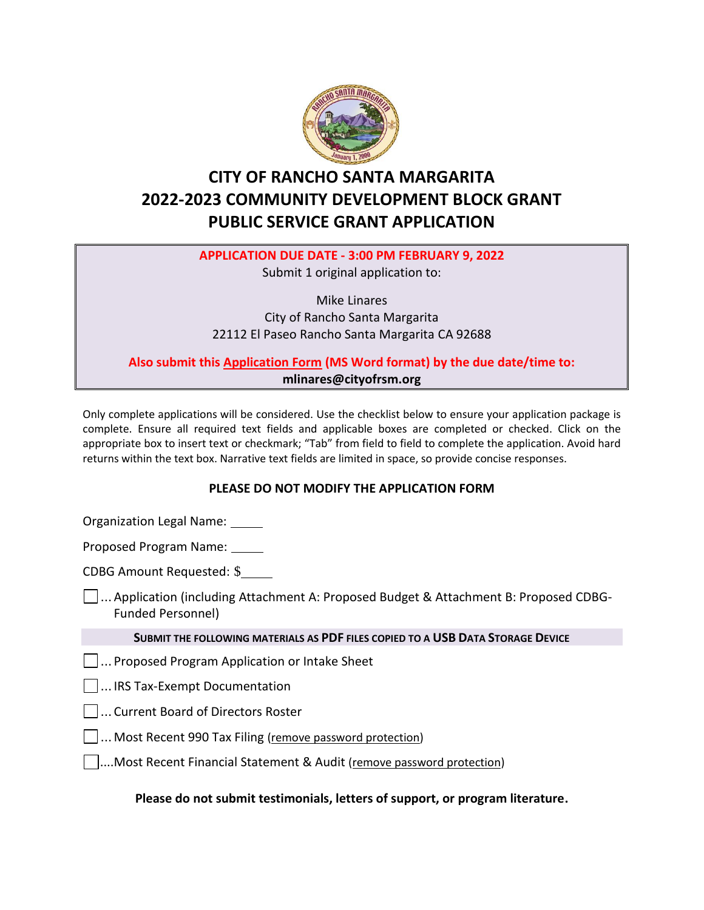

# **CITY OF RANCHO SANTA MARGARITA 2022-2023 COMMUNITY DEVELOPMENT BLOCK GRANT PUBLIC SERVICE GRANT APPLICATION**

#### **APPLICATION DUE DATE - 3:00 PM FEBRUARY 9, 2022** Submit 1 original application to:

Mike Linares City of Rancho Santa Margarita 22112 El Paseo Rancho Santa Margarita CA 92688

### **Also submit this Application Form (MS Word format) by the due date/time to: mlinares@cityofrsm.org**

Only complete applications will be considered. Use the checklist below to ensure your application package is complete. Ensure all required text fields and applicable boxes are completed or checked. Click on the appropriate box to insert text or checkmark; "Tab" from field to field to complete the application. Avoid hard returns within the text box. Narrative text fields are limited in space, so provide concise responses.

## **PLEASE DO NOT MODIFY THE APPLICATION FORM**

Organization Legal Name:

Proposed Program Name:

CDBG Amount Requested: \$

... Application (including Attachment A: Proposed Budget & Attachment B: Proposed CDBG-Funded Personnel)

#### **SUBMIT THE FOLLOWING MATERIALS AS PDF FILES COPIED TO A USB DATA STORAGE DEVICE**

- **I.... Proposed Program Application or Intake Sheet**
- **I...IRS Tax-Exempt Documentation**
- **N.**...Current Board of Directors Roster
- ... Most Recent 990 Tax Filing (remove password protection)
- ....Most Recent Financial Statement & Audit (remove password protection)

**Please do not submit testimonials, letters of support, or program literature.**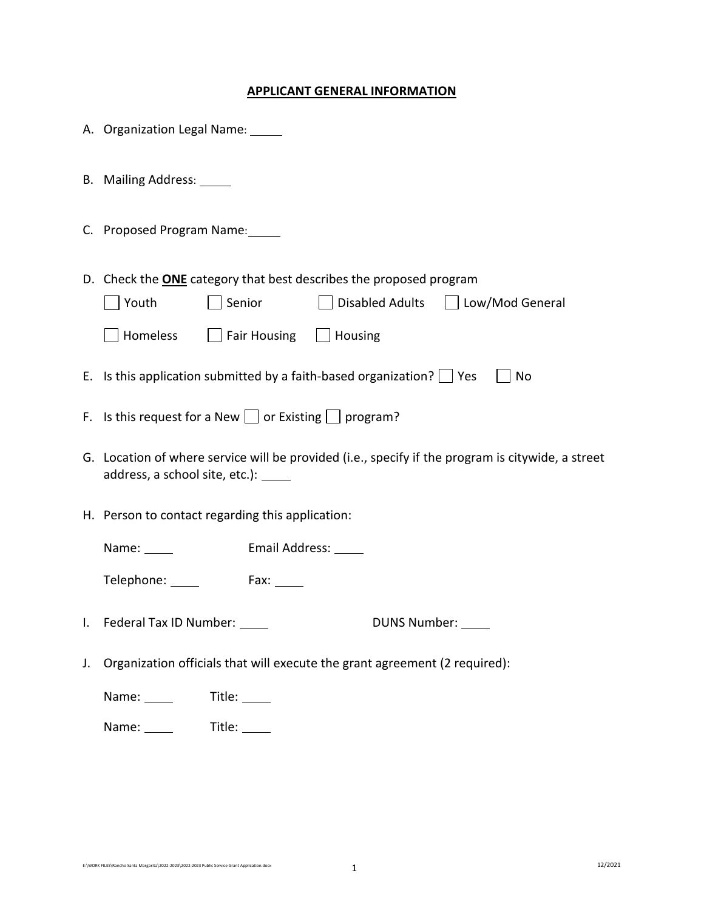### **APPLICANT GENERAL INFORMATION**

|    | A. Organization Legal Name: 1888.                                                                                                                                                                                                                      |
|----|--------------------------------------------------------------------------------------------------------------------------------------------------------------------------------------------------------------------------------------------------------|
|    | B. Mailing Address: _____                                                                                                                                                                                                                              |
|    | C. Proposed Program Name:                                                                                                                                                                                                                              |
|    | D. Check the <b>ONE</b> category that best describes the proposed program<br>Senior<br>Disabled Adults<br>Youth<br>  Low/Mod General                                                                                                                   |
|    | $\Box$ Fair Housing $\Box$ Housing<br>Homeless                                                                                                                                                                                                         |
|    |                                                                                                                                                                                                                                                        |
|    | E. Is this application submitted by a faith-based organization? $\Box$ Yes<br><b>No</b>                                                                                                                                                                |
|    | F. Is this request for a New $\Box$ or Existing $\Box$ program?                                                                                                                                                                                        |
|    | G. Location of where service will be provided (i.e., specify if the program is citywide, a street<br>address, a school site, etc.): _____                                                                                                              |
|    | H. Person to contact regarding this application:                                                                                                                                                                                                       |
|    | Email Address: _____<br>Name: 1988 Manual Manual Second Second Second Second Second Second Second Second Second Second Second Second Second Second Second Second Second Second Second Second Second Second Second Second Second Second Second Second S |
|    | Telephone: Fax: Fax:                                                                                                                                                                                                                                   |
|    | I. Federal Tax ID Number: _____<br>DUNS Number: _____                                                                                                                                                                                                  |
| J. | Organization officials that will execute the grant agreement (2 required):                                                                                                                                                                             |
|    | Title: $\_\_$<br>Name: $\_\_$                                                                                                                                                                                                                          |
|    | Title: $\_\_$<br>Name: $\frac{1}{\sqrt{1-\frac{1}{2}}}\right $                                                                                                                                                                                         |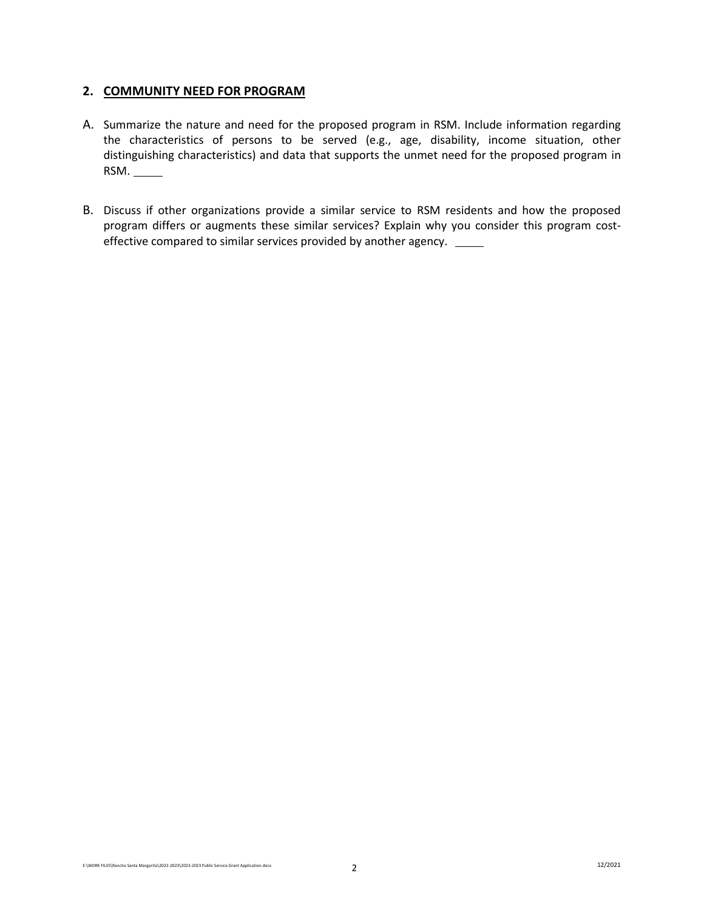#### **2. COMMUNITY NEED FOR PROGRAM**

- A. Summarize the nature and need for the proposed program in RSM. Include information regarding the characteristics of persons to be served (e.g., age, disability, income situation, other distinguishing characteristics) and data that supports the unmet need for the proposed program in RSM.
- B. Discuss if other organizations provide a similar service to RSM residents and how the proposed program differs or augments these similar services? Explain why you consider this program costeffective compared to similar services provided by another agency.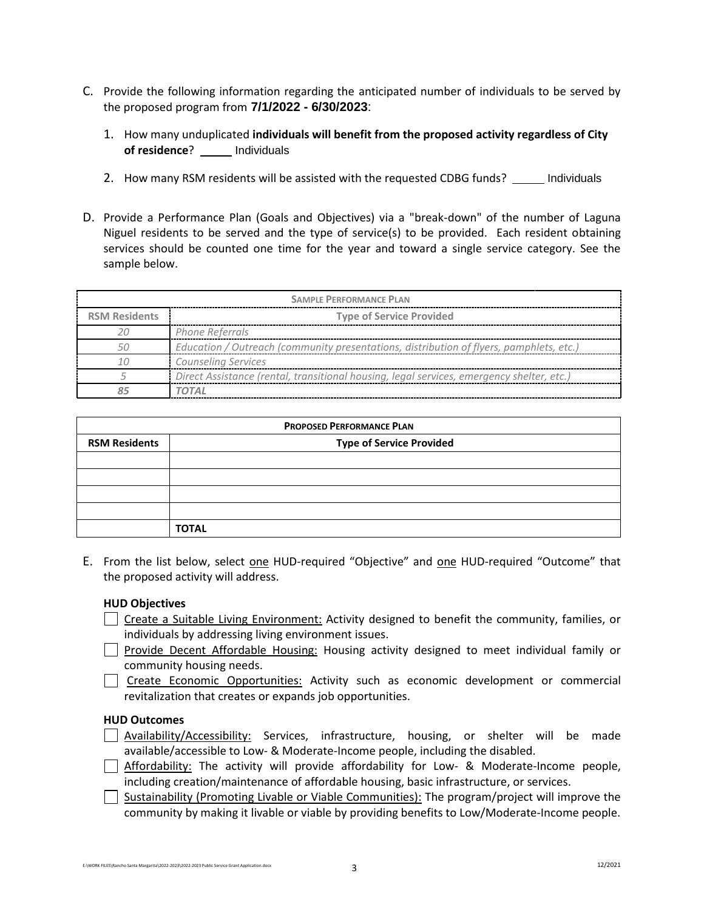- C. Provide the following information regarding the anticipated number of individuals to be served by the proposed program from **7/1/2022 - 6/30/2023**:
	- 1. How many unduplicated **individuals will benefit from the proposed activity regardless of City of residence**? Individuals
	- 2. How many RSM residents will be assisted with the requested CDBG funds? Individuals
- D. Provide a Performance Plan (Goals and Objectives) via a "break-down" of the number of Laguna Niguel residents to be served and the type of service(s) to be provided. Each resident obtaining services should be counted one time for the year and toward a single service category. See the sample below.

| <b>SAMPLE PERFORMANCE PLAN</b> |                                                                                           |  |  |  |  |
|--------------------------------|-------------------------------------------------------------------------------------------|--|--|--|--|
| <b>RSM Residents</b>           | <b>Type of Service Provided</b>                                                           |  |  |  |  |
|                                | <b>Phone Referrals</b>                                                                    |  |  |  |  |
|                                | Education / Outreach (community presentations, distribution of flyers, pamphlets, etc.)   |  |  |  |  |
|                                | <b>Counseling Services</b>                                                                |  |  |  |  |
|                                | Direct Assistance (rental, transitional housing, legal services, emergency shelter, etc.) |  |  |  |  |
|                                | ΤΩΤΔΙ                                                                                     |  |  |  |  |

| <b>PROPOSED PERFORMANCE PLAN</b>                        |              |  |  |  |  |  |
|---------------------------------------------------------|--------------|--|--|--|--|--|
| <b>RSM Residents</b><br><b>Type of Service Provided</b> |              |  |  |  |  |  |
|                                                         |              |  |  |  |  |  |
|                                                         |              |  |  |  |  |  |
|                                                         |              |  |  |  |  |  |
|                                                         |              |  |  |  |  |  |
|                                                         | <b>TOTAL</b> |  |  |  |  |  |

E. From the list below, select one HUD-required "Objective" and one HUD-required "Outcome" that the proposed activity will address.

#### **HUD Objectives**

- **Create a Suitable Living Environment:** Activity designed to benefit the community, families, or individuals by addressing living environment issues.
- **Provide Decent Affordable Housing: Housing activity designed to meet individual family or** community housing needs.
- Create Economic Opportunities: Activity such as economic development or commercial revitalization that creates or expands job opportunities.

#### **HUD Outcomes**

- Availability/Accessibility: Services, infrastructure, housing, or shelter will be made available/accessible to Low- & Moderate-Income people, including the disabled.
- Affordability: The activity will provide affordability for Low- & Moderate-Income people, including creation/maintenance of affordable housing, basic infrastructure, or services.
- $\vert \ \vert$  Sustainability (Promoting Livable or Viable Communities): The program/project will improve the community by making it livable or viable by providing benefits to Low/Moderate-Income people.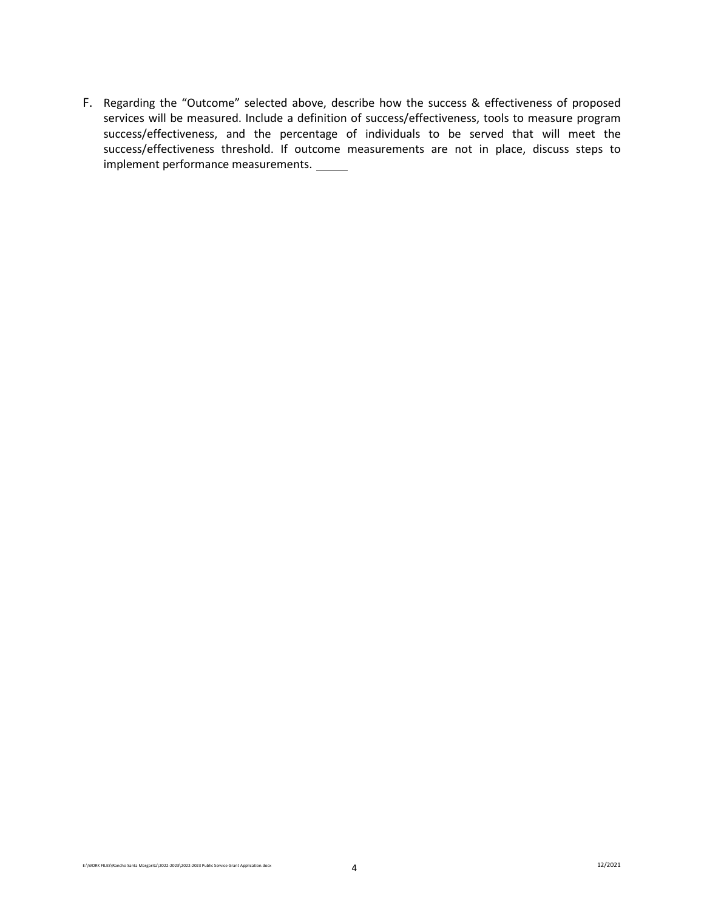F. Regarding the "Outcome" selected above, describe how the success & effectiveness of proposed services will be measured. Include a definition of success/effectiveness, tools to measure program success/effectiveness, and the percentage of individuals to be served that will meet the success/effectiveness threshold. If outcome measurements are not in place, discuss steps to implement performance measurements.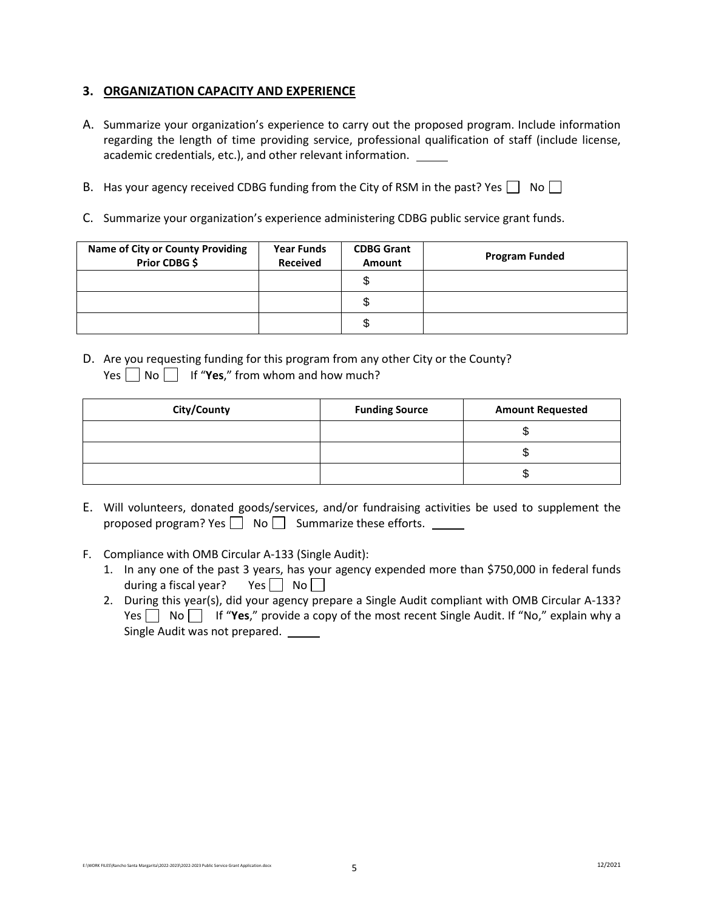#### **3. ORGANIZATION CAPACITY AND EXPERIENCE**

- A. Summarize your organization's experience to carry out the proposed program. Include information regarding the length of time providing service, professional qualification of staff (include license, academic credentials, etc.), and other relevant information.
- B. Has your agency received CDBG funding from the City of RSM in the past? Yes  $\Box$  No  $\Box$
- C. Summarize your organization's experience administering CDBG public service grant funds.

| Name of City or County Providing<br>Prior CDBG \$ | <b>Year Funds</b><br><b>Received</b> | <b>CDBG Grant</b><br>Amount | <b>Program Funded</b> |
|---------------------------------------------------|--------------------------------------|-----------------------------|-----------------------|
|                                                   |                                      |                             |                       |
|                                                   |                                      |                             |                       |
|                                                   |                                      | ъD                          |                       |

D. Are you requesting funding for this program from any other City or the County?  $Yes \cap No \cap$  If "**Yes**," from whom and how much?

| <b>City/County</b> | <b>Funding Source</b> | <b>Amount Requested</b> |  |
|--------------------|-----------------------|-------------------------|--|
|                    |                       |                         |  |
|                    |                       |                         |  |
|                    |                       |                         |  |

- E. Will volunteers, donated goods/services, and/or fundraising activities be used to supplement the proposed program? Yes  $\Box$  No  $\Box$  Summarize these efforts.  $\Box$
- F. Compliance with OMB Circular A-133 (Single Audit):
	- 1. In any one of the past 3 years, has your agency expended more than \$750,000 in federal funds during a fiscal year? Yes  $\vert$  No  $\vert$
	- 2. During this year(s), did your agency prepare a Single Audit compliant with OMB Circular A-133? Yes  $\Box$  No  $\Box$  If "Yes," provide a copy of the most recent Single Audit. If "No," explain why a Single Audit was not prepared.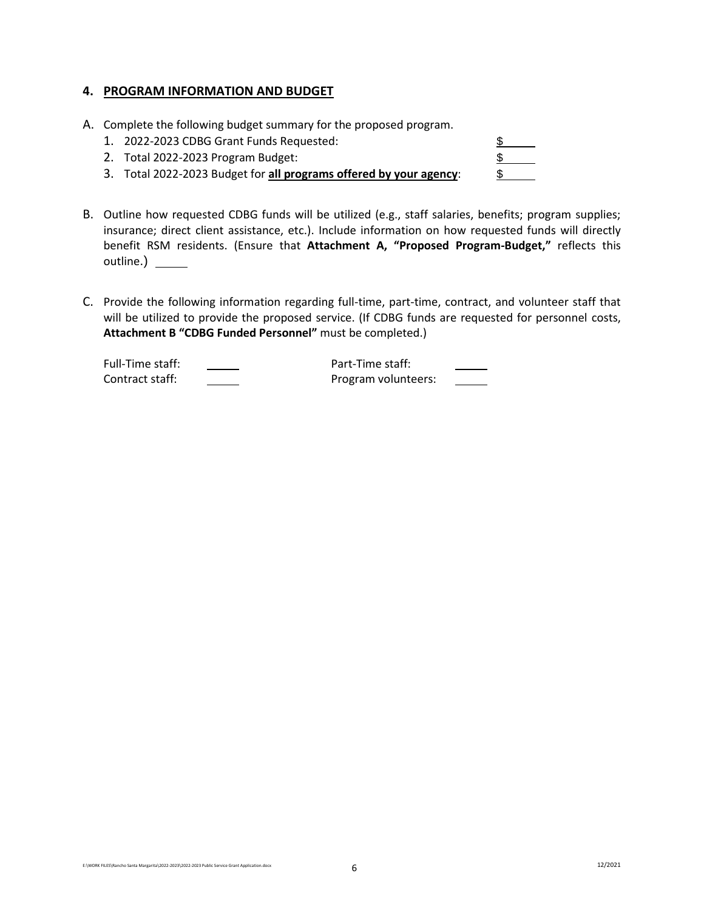#### **4. PROGRAM INFORMATION AND BUDGET**

- A. Complete the following budget summary for the proposed program.
	- 1. 2022-2023 CDBG Grant Funds Requested:  $\frac{\$}{3}$   $\frac{\$}{3}$
	- 2. Total 2022-2023 Program Budget:
	- 3. Total 2022-2023 Budget for **all programs offered by your agency**: \$
- B. Outline how requested CDBG funds will be utilized (e.g., staff salaries, benefits; program supplies; insurance; direct client assistance, etc.). Include information on how requested funds will directly benefit RSM residents. (Ensure that **Attachment A, "Proposed Program-Budget,"** reflects this outline.) \_\_\_\_\_\_
- C. Provide the following information regarding full-time, part-time, contract, and volunteer staff that will be utilized to provide the proposed service. (If CDBG funds are requested for personnel costs, **Attachment B "CDBG Funded Personnel"** must be completed.)

| Full-Time staff: | Part-Time staff:    |  |
|------------------|---------------------|--|
| Contract staff:  | Program volunteers: |  |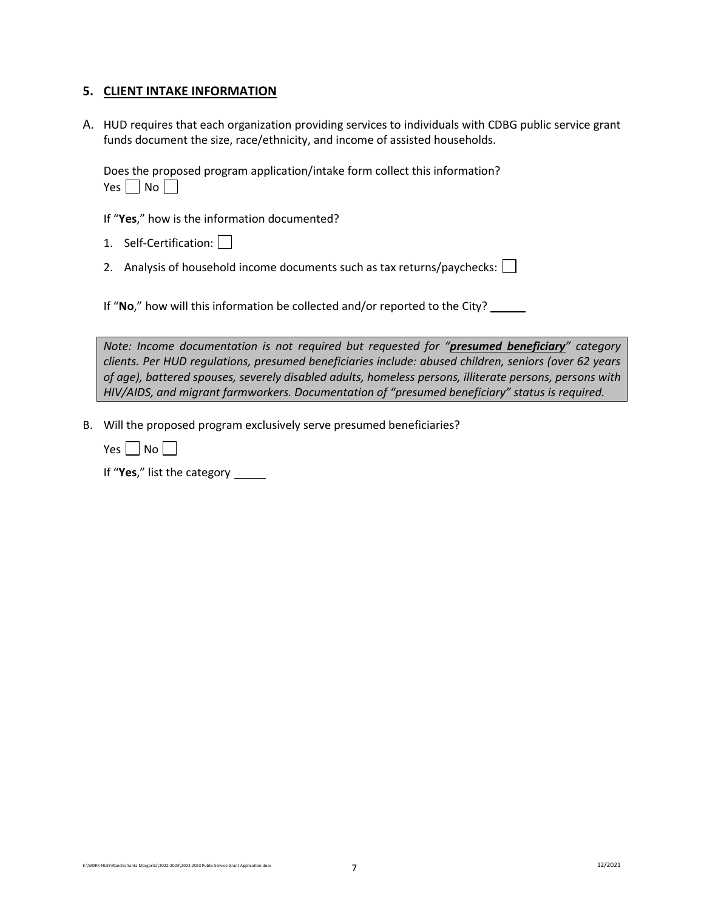#### **5. CLIENT INTAKE INFORMATION**

A. HUD requires that each organization providing services to individuals with CDBG public service grant funds document the size, race/ethnicity, and income of assisted households.

Does the proposed program application/intake form collect this information?  $Yes \nightharpoonup No \nightharpoonup$ 

If "**Yes**," how is the information documented?

- 1. Self-Certification: |
- 2. Analysis of household income documents such as tax returns/paychecks:  $\Box$

If "**No**," how will this information be collected and/or reported to the City?

*Note: Income documentation is not required but requested for "presumed beneficiary" category clients. Per HUD regulations, presumed beneficiaries include: abused children, seniors (over 62 years of age), battered spouses, severely disabled adults, homeless persons, illiterate persons, persons with HIV/AIDS, and migrant farmworkers. Documentation of "presumed beneficiary" status is required.*

- B. Will the proposed program exclusively serve presumed beneficiaries?
	- Yes  $\Box$  No  $\Box$

If "**Yes**," list the category

7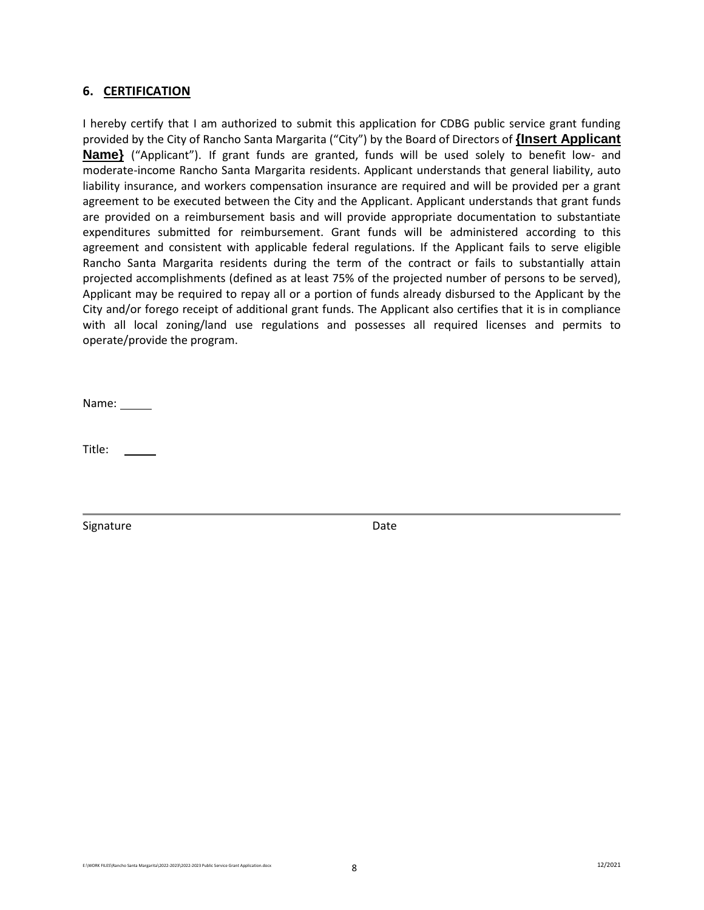#### **6. CERTIFICATION**

I hereby certify that I am authorized to submit this application for CDBG public service grant funding provided by the City of Rancho Santa Margarita ("City") by the Board of Directors of **{Insert Applicant Name}** ("Applicant"). If grant funds are granted, funds will be used solely to benefit low- and moderate-income Rancho Santa Margarita residents. Applicant understands that general liability, auto liability insurance, and workers compensation insurance are required and will be provided per a grant agreement to be executed between the City and the Applicant. Applicant understands that grant funds are provided on a reimbursement basis and will provide appropriate documentation to substantiate expenditures submitted for reimbursement. Grant funds will be administered according to this agreement and consistent with applicable federal regulations. If the Applicant fails to serve eligible Rancho Santa Margarita residents during the term of the contract or fails to substantially attain projected accomplishments (defined as at least 75% of the projected number of persons to be served), Applicant may be required to repay all or a portion of funds already disbursed to the Applicant by the City and/or forego receipt of additional grant funds. The Applicant also certifies that it is in compliance with all local zoning/land use regulations and possesses all required licenses and permits to operate/provide the program.

Name:

Title:

Signature Date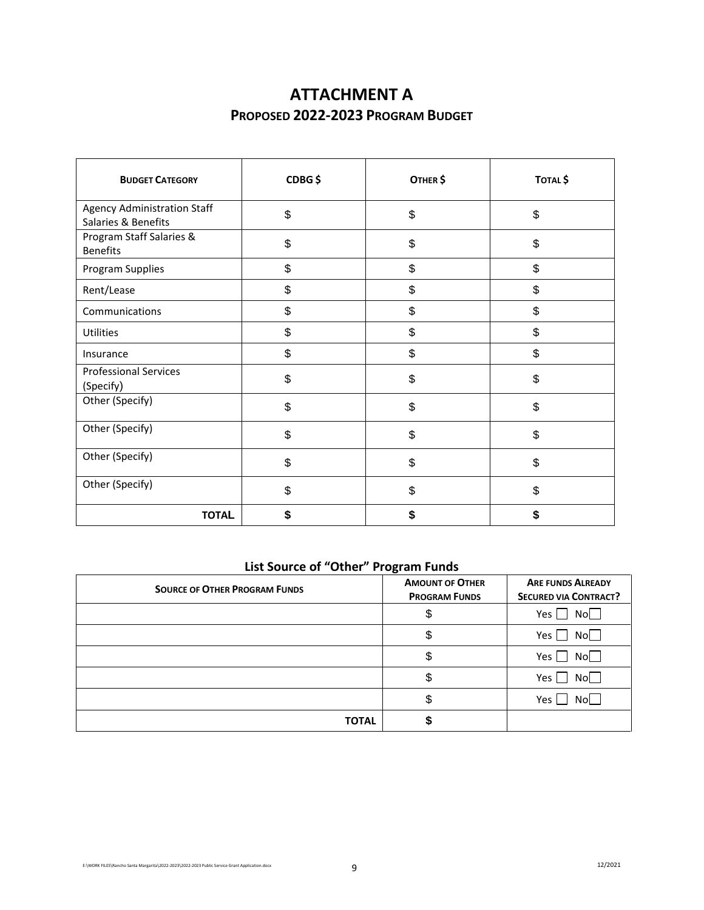# **ATTACHMENT A PROPOSED 2022-2023 PROGRAM BUDGET**

| <b>BUDGET CATEGORY</b>                                    | CDBG\$ | OTHER \$ | TOTAL \$ |
|-----------------------------------------------------------|--------|----------|----------|
| <b>Agency Administration Staff</b><br>Salaries & Benefits | \$     | \$       | \$       |
| Program Staff Salaries &<br><b>Benefits</b>               | \$     | \$       | \$       |
| Program Supplies                                          | \$     | \$       | \$       |
| Rent/Lease                                                | \$     | \$       | \$       |
| Communications                                            | \$     | \$       | \$       |
| <b>Utilities</b>                                          | \$     | \$       | \$       |
| Insurance                                                 | \$     | \$       | \$       |
| <b>Professional Services</b><br>(Specify)                 | \$     | \$       | \$       |
| Other (Specify)                                           | \$     | \$       | \$       |
| Other (Specify)                                           | \$     | \$       | \$       |
| Other (Specify)                                           | \$     | \$       | \$       |
| Other (Specify)                                           | \$     | \$       | \$       |
| <b>TOTAL</b>                                              | \$     | \$       | \$       |

# **List Source of "Other" Program Funds**

| <b>SOURCE OF OTHER PROGRAM FUNDS</b> | <b>AMOUNT OF OTHER</b><br><b>PROGRAM FUNDS</b> | <b>ARE FUNDS ALREADY</b><br><b>SECURED VIA CONTRACT?</b> |
|--------------------------------------|------------------------------------------------|----------------------------------------------------------|
|                                      | \$                                             | Yes  <br>Nol                                             |
|                                      | \$                                             | Yes  <br>Nol                                             |
|                                      | \$                                             | Yes<br>Nol                                               |
|                                      | \$                                             | Yes<br>Nol                                               |
|                                      | \$                                             | Yes<br>Nol                                               |
| <b>TOTAL</b>                         |                                                |                                                          |